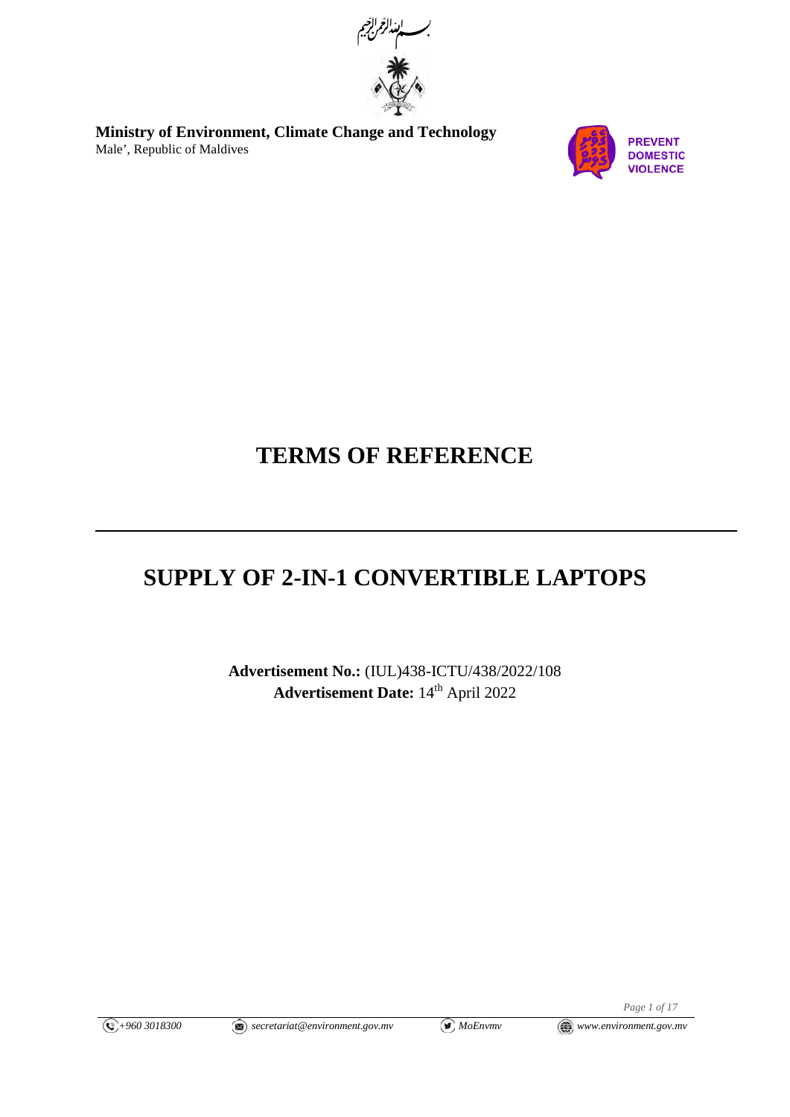

**Ministry of Environment, Climate Change and Technology**  Male', Republic of Maldives



# **TERMS OF REFERENCE**

# **SUPPLY OF 2-IN-1 CONVERTIBLE LAPTOPS**

**Advertisement No.:** (IUL)438-ICTU/438/2022/108 Advertisement Date: 14<sup>th</sup> April 2022

*Page 1 of 17*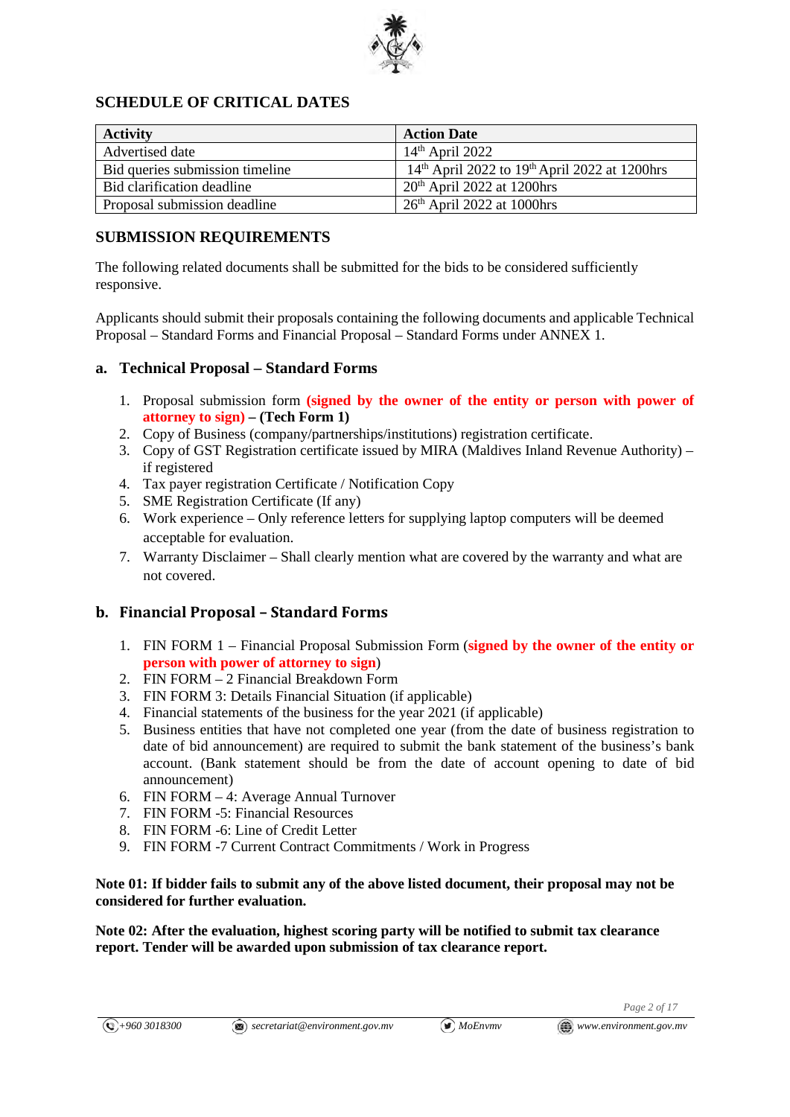

## **SCHEDULE OF CRITICAL DATES**

| <b>Activity</b>                 | <b>Action Date</b>                                |
|---------------------------------|---------------------------------------------------|
| Advertised date                 | $14th$ April 2022                                 |
| Bid queries submission timeline | $14th$ April 2022 to $19th$ April 2022 at 1200hrs |
| Bid clarification deadline      | $20th$ April 2022 at 1200hrs                      |
| Proposal submission deadline    | $26th$ April 2022 at 1000hrs                      |

### **SUBMISSION REQUIREMENTS**

The following related documents shall be submitted for the bids to be considered sufficiently responsive.

Applicants should submit their proposals containing the following documents and applicable Technical Proposal – Standard Forms and Financial Proposal – Standard Forms under ANNEX 1.

### **a. Technical Proposal – Standard Forms**

- 1. Proposal submission form **(signed by the owner of the entity or person with power of attorney to sign) – (Tech Form 1)**
- 2. Copy of Business (company/partnerships/institutions) registration certificate.
- 3. Copy of GST Registration certificate issued by MIRA (Maldives Inland Revenue Authority) if registered
- 4. Tax payer registration Certificate / Notification Copy
- 5. SME Registration Certificate (If any)
- 6. Work experience Only reference letters for supplying laptop computers will be deemed acceptable for evaluation.
- 7. Warranty Disclaimer Shall clearly mention what are covered by the warranty and what are not covered.

### **b. Financial Proposal – Standard Forms**

- 1. FIN FORM 1 Financial Proposal Submission Form (**signed by the owner of the entity or person with power of attorney to sign**)
- 2. FIN FORM 2 Financial Breakdown Form
- 3. FIN FORM 3: Details Financial Situation (if applicable)
- 4. Financial statements of the business for the year 2021 (if applicable)
- 5. Business entities that have not completed one year (from the date of business registration to date of bid announcement) are required to submit the bank statement of the business's bank account. (Bank statement should be from the date of account opening to date of bid announcement)
- 6. FIN FORM 4: Average Annual Turnover
- 7. FIN FORM -5: Financial Resources
- 8. FIN FORM -6: Line of Credit Letter
- 9. FIN FORM -7 Current Contract Commitments / Work in Progress

#### **Note 01: If bidder fails to submit any of the above listed document, their proposal may not be considered for further evaluation.**

**Note 02: After the evaluation, highest scoring party will be notified to submit tax clearance report. Tender will be awarded upon submission of tax clearance report.**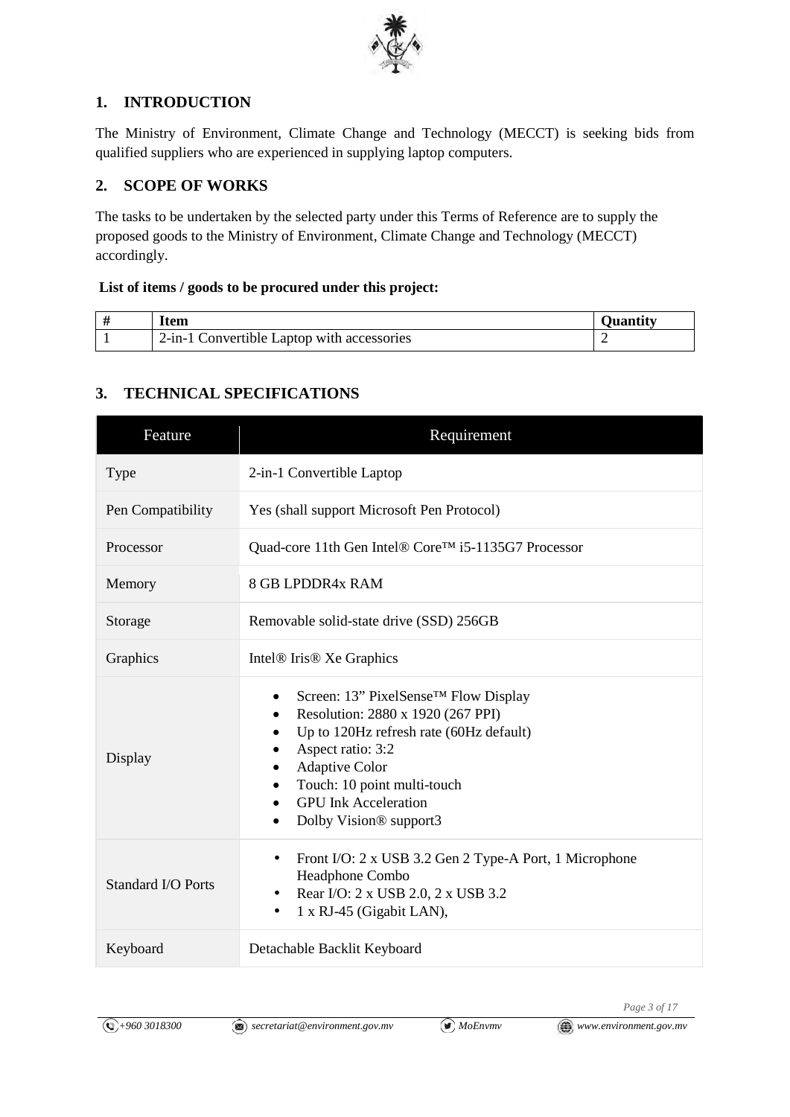

# **1. INTRODUCTION**

The Ministry of Environment, Climate Change and Technology (MECCT) is seeking bids from qualified suppliers who are experienced in supplying laptop computers.

# **2. SCOPE OF WORKS**

The tasks to be undertaken by the selected party under this Terms of Reference are to supply the proposed goods to the Ministry of Environment, Climate Change and Technology (MECCT) accordingly.

### **List of items / goods to be procured under this project:**

| Item                                       |  |
|--------------------------------------------|--|
| 2-in-1 Convertible Laptop with accessories |  |

# **3. TECHNICAL SPECIFICATIONS**

| Feature            | Requirement                                                                                                                                                                                                                                                                             |  |
|--------------------|-----------------------------------------------------------------------------------------------------------------------------------------------------------------------------------------------------------------------------------------------------------------------------------------|--|
| Type               | 2-in-1 Convertible Laptop                                                                                                                                                                                                                                                               |  |
| Pen Compatibility  | Yes (shall support Microsoft Pen Protocol)                                                                                                                                                                                                                                              |  |
| Processor          | Quad-core 11th Gen Intel® Core™ i5-1135G7 Processor                                                                                                                                                                                                                                     |  |
| Memory             | <b>8 GB LPDDR4x RAM</b>                                                                                                                                                                                                                                                                 |  |
| Storage            | Removable solid-state drive (SSD) 256GB                                                                                                                                                                                                                                                 |  |
| Graphics           | Intel <sup>®</sup> Iris <sup>®</sup> Xe Graphics                                                                                                                                                                                                                                        |  |
| Display            | Screen: 13" PixelSense <sup>™</sup> Flow Display<br>٠<br>Resolution: 2880 x 1920 (267 PPI)<br>Up to 120Hz refresh rate (60Hz default)<br>Aspect ratio: 3:2<br><b>Adaptive Color</b><br>Touch: 10 point multi-touch<br><b>GPU</b> Ink Acceleration<br>Dolby Vision <sup>®</sup> support3 |  |
| Standard I/O Ports | Front I/O: 2 x USB 3.2 Gen 2 Type-A Port, 1 Microphone<br>$\bullet$<br>Headphone Combo<br>Rear I/O: 2 x USB 2.0, 2 x USB 3.2<br>$\bullet$<br>1 x RJ-45 (Gigabit LAN),<br>٠                                                                                                              |  |
| Keyboard           | Detachable Backlit Keyboard                                                                                                                                                                                                                                                             |  |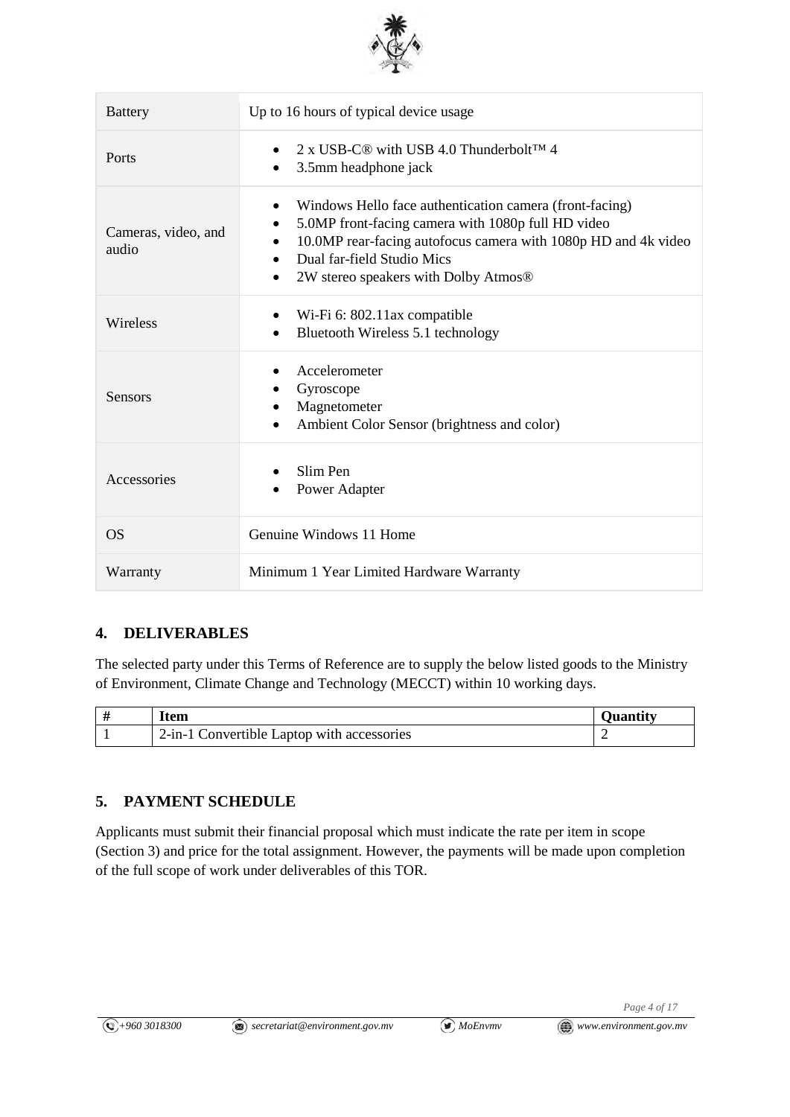

| <b>Battery</b>               | Up to 16 hours of typical device usage                                                                                                                                                                                                                                                       |  |
|------------------------------|----------------------------------------------------------------------------------------------------------------------------------------------------------------------------------------------------------------------------------------------------------------------------------------------|--|
| Ports                        | 2 x USB-C <sup>®</sup> with USB 4.0 Thunderbolt™ 4<br>3.5mm headphone jack<br>$\bullet$                                                                                                                                                                                                      |  |
| Cameras, video, and<br>audio | Windows Hello face authentication camera (front-facing)<br>$\bullet$<br>5.0MP front-facing camera with 1080p full HD video<br>$\bullet$<br>10.0MP rear-facing autofocus camera with 1080p HD and 4k video<br>Dual far-field Studio Mics<br>2W stereo speakers with Dolby Atmos®<br>$\bullet$ |  |
| Wireless                     | Wi-Fi 6: 802.11ax compatible<br>Bluetooth Wireless 5.1 technology<br>$\bullet$                                                                                                                                                                                                               |  |
| <b>Sensors</b>               | Accelerometer<br>Gyroscope<br>Magnetometer<br>Ambient Color Sensor (brightness and color)<br>$\bullet$                                                                                                                                                                                       |  |
| Accessories                  | Slim Pen<br>Power Adapter<br>$\bullet$                                                                                                                                                                                                                                                       |  |
| <b>OS</b>                    | Genuine Windows 11 Home                                                                                                                                                                                                                                                                      |  |
| Warranty                     | Minimum 1 Year Limited Hardware Warranty                                                                                                                                                                                                                                                     |  |

### **4. DELIVERABLES**

The selected party under this Terms of Reference are to supply the below listed goods to the Ministry of Environment, Climate Change and Technology (MECCT) within 10 working days.

| Item                                       |  |
|--------------------------------------------|--|
| 2-in-1 Convertible Laptop with accessories |  |

# **5. PAYMENT SCHEDULE**

Applicants must submit their financial proposal which must indicate the rate per item in scope (Section 3) and price for the total assignment. However, the payments will be made upon completion of the full scope of work under deliverables of this TOR.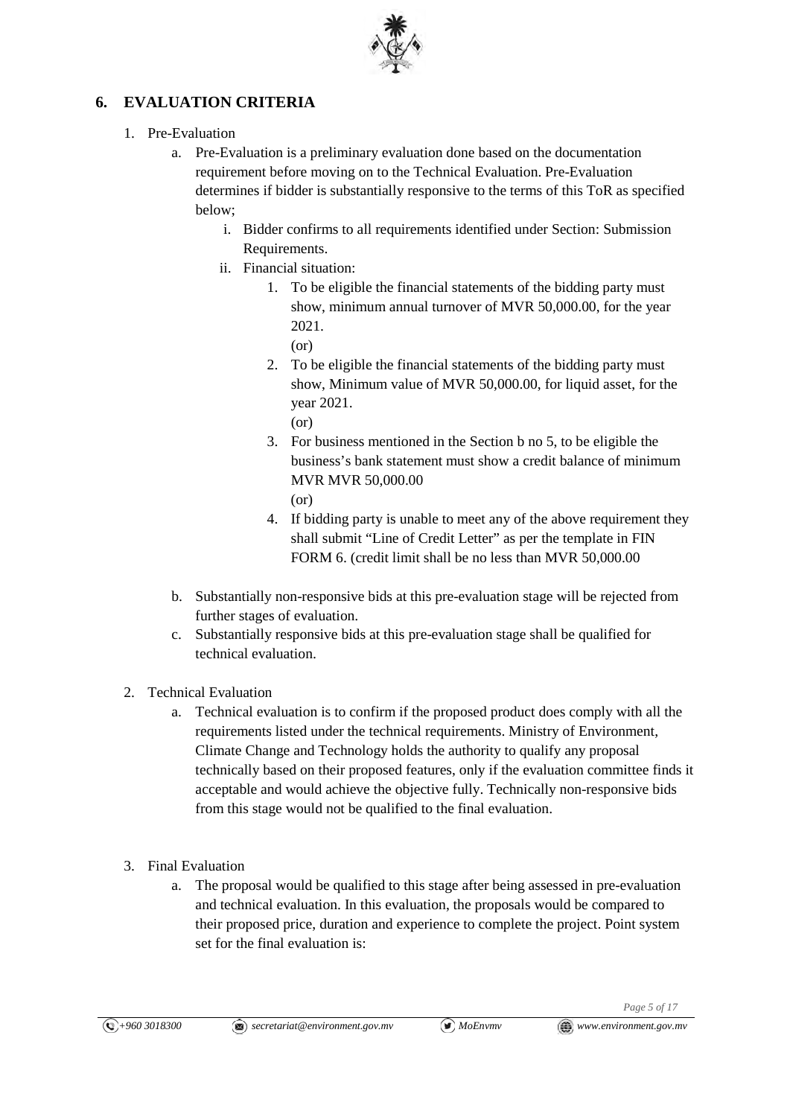

# **6. EVALUATION CRITERIA**

- 1. Pre-Evaluation
	- a. Pre-Evaluation is a preliminary evaluation done based on the documentation requirement before moving on to the Technical Evaluation. Pre-Evaluation determines if bidder is substantially responsive to the terms of this ToR as specified below;
		- i. Bidder confirms to all requirements identified under Section: Submission Requirements.
		- ii. Financial situation:
			- 1. To be eligible the financial statements of the bidding party must show, minimum annual turnover of MVR 50,000.00, for the year 2021.
				- (or)
			- 2. To be eligible the financial statements of the bidding party must show, Minimum value of MVR 50,000.00, for liquid asset, for the year 2021.
				- (or)
			- 3. For business mentioned in the Section b no 5, to be eligible the business's bank statement must show a credit balance of minimum MVR MVR 50,000.00  $(or)$
			- 4. If bidding party is unable to meet any of the above requirement they shall submit "Line of Credit Letter" as per the template in FIN FORM 6. (credit limit shall be no less than MVR 50,000.00
	- b. Substantially non-responsive bids at this pre-evaluation stage will be rejected from further stages of evaluation.
	- c. Substantially responsive bids at this pre-evaluation stage shall be qualified for technical evaluation.
- 2. Technical Evaluation
	- a. Technical evaluation is to confirm if the proposed product does comply with all the requirements listed under the technical requirements. Ministry of Environment, Climate Change and Technology holds the authority to qualify any proposal technically based on their proposed features, only if the evaluation committee finds it acceptable and would achieve the objective fully. Technically non-responsive bids from this stage would not be qualified to the final evaluation.
- 3. Final Evaluation
	- a. The proposal would be qualified to this stage after being assessed in pre-evaluation and technical evaluation. In this evaluation, the proposals would be compared to their proposed price, duration and experience to complete the project. Point system set for the final evaluation is: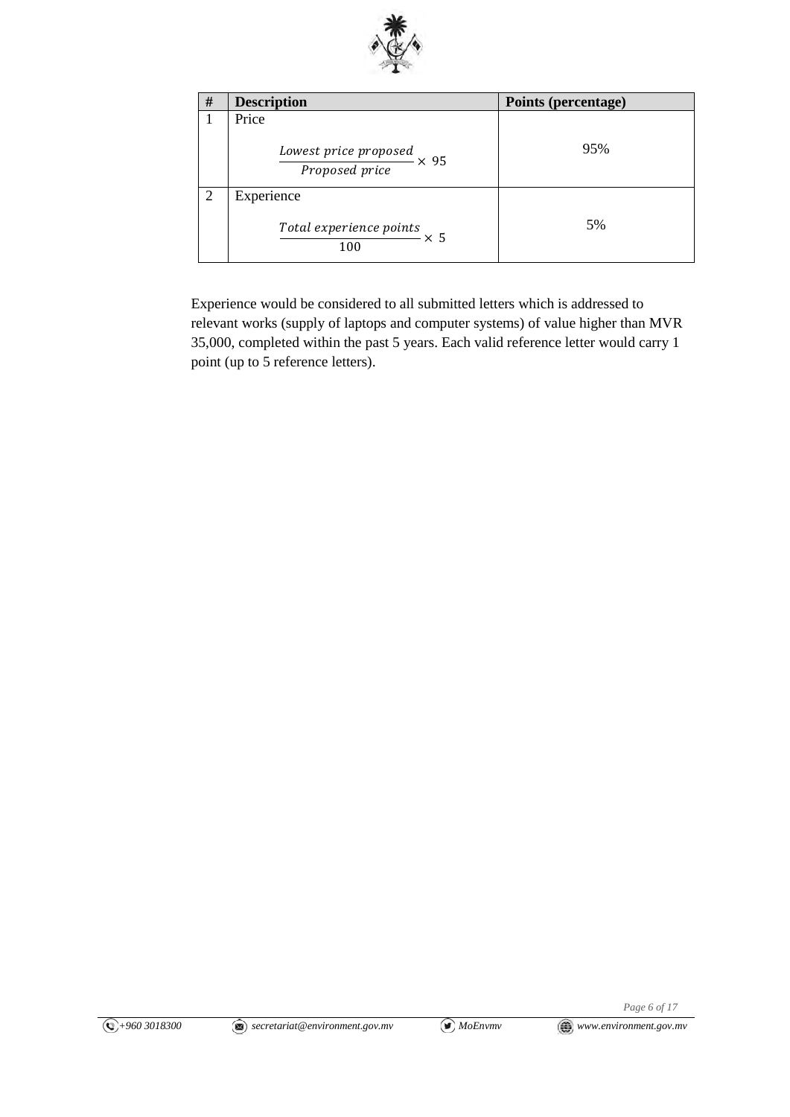

| # | <b>Description</b>                                          | Points (percentage) |
|---|-------------------------------------------------------------|---------------------|
|   | Price                                                       |                     |
|   | $\frac{Lower\ price\ proposed}{Proposed\ price} \times\ 95$ | 95%                 |
| 2 | Experience                                                  |                     |
|   | Total experience points $\times 5$<br>100                   | 5%                  |

Experience would be considered to all submitted letters which is addressed to relevant works (supply of laptops and computer systems) of value higher than MVR 35,000, completed within the past 5 years. Each valid reference letter would carry 1 point (up to 5 reference letters).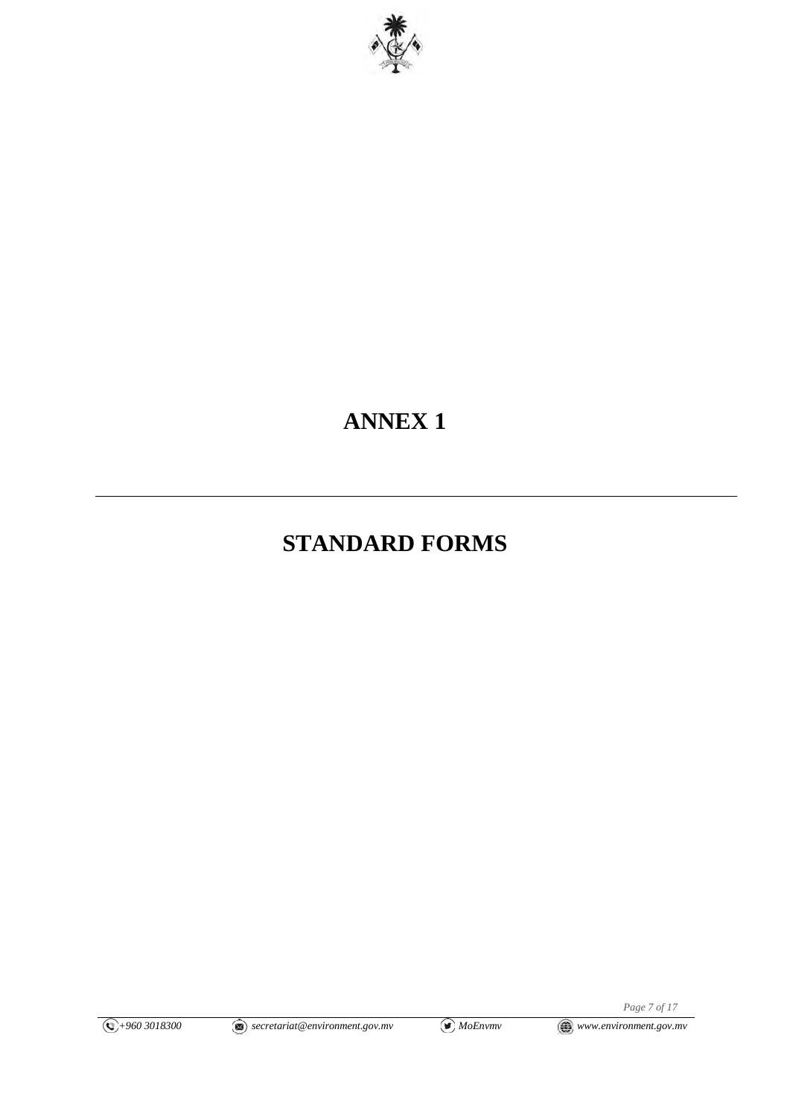

# **ANNEX 1**

# **STANDARD FORMS**

*Page 7 of 17*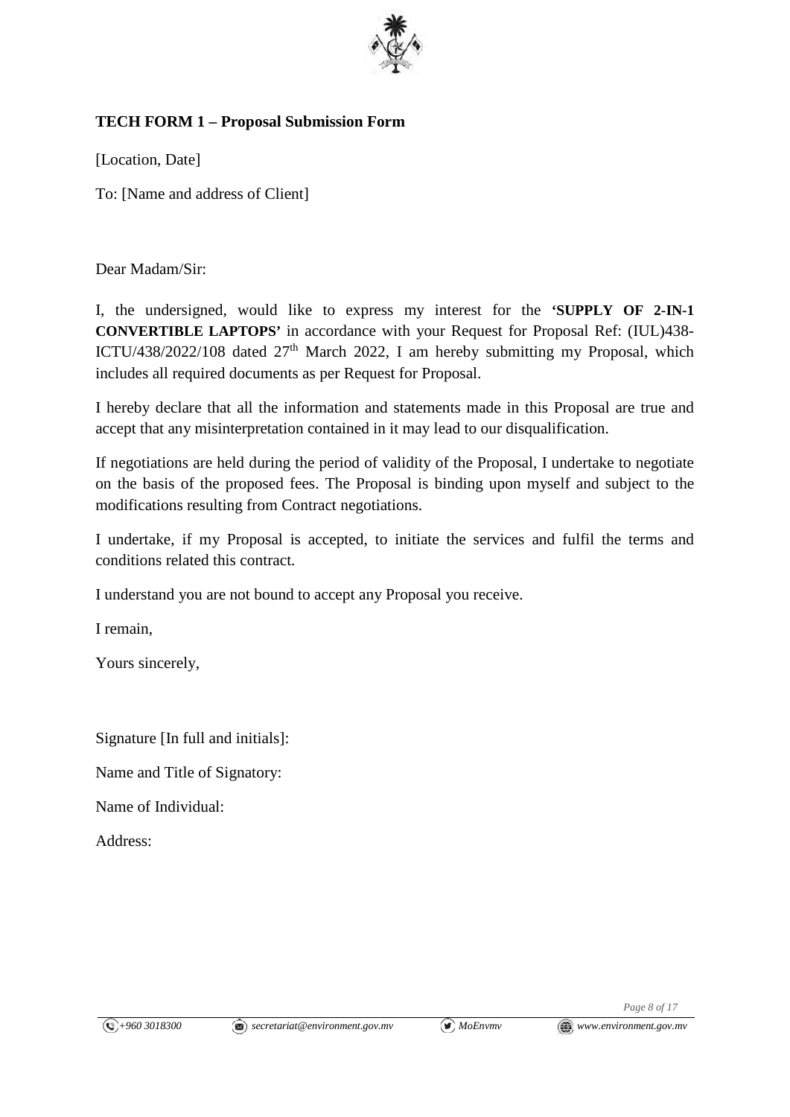

# **TECH FORM 1 – Proposal Submission Form**

[Location, Date]

To: [Name and address of Client]

Dear Madam/Sir:

I, the undersigned, would like to express my interest for the **'SUPPLY OF 2-IN-1 CONVERTIBLE LAPTOPS'** in accordance with your Request for Proposal Ref: (IUL)438- ICTU/438/2022/108 dated  $27<sup>th</sup>$  March 2022, I am hereby submitting my Proposal, which includes all required documents as per Request for Proposal.

I hereby declare that all the information and statements made in this Proposal are true and accept that any misinterpretation contained in it may lead to our disqualification.

If negotiations are held during the period of validity of the Proposal, I undertake to negotiate on the basis of the proposed fees. The Proposal is binding upon myself and subject to the modifications resulting from Contract negotiations.

I undertake, if my Proposal is accepted, to initiate the services and fulfil the terms and conditions related this contract.

I understand you are not bound to accept any Proposal you receive.

I remain,

Yours sincerely,

Signature [In full and initials]:

Name and Title of Signatory:

Name of Individual:

Address:

*Page 8 of 17*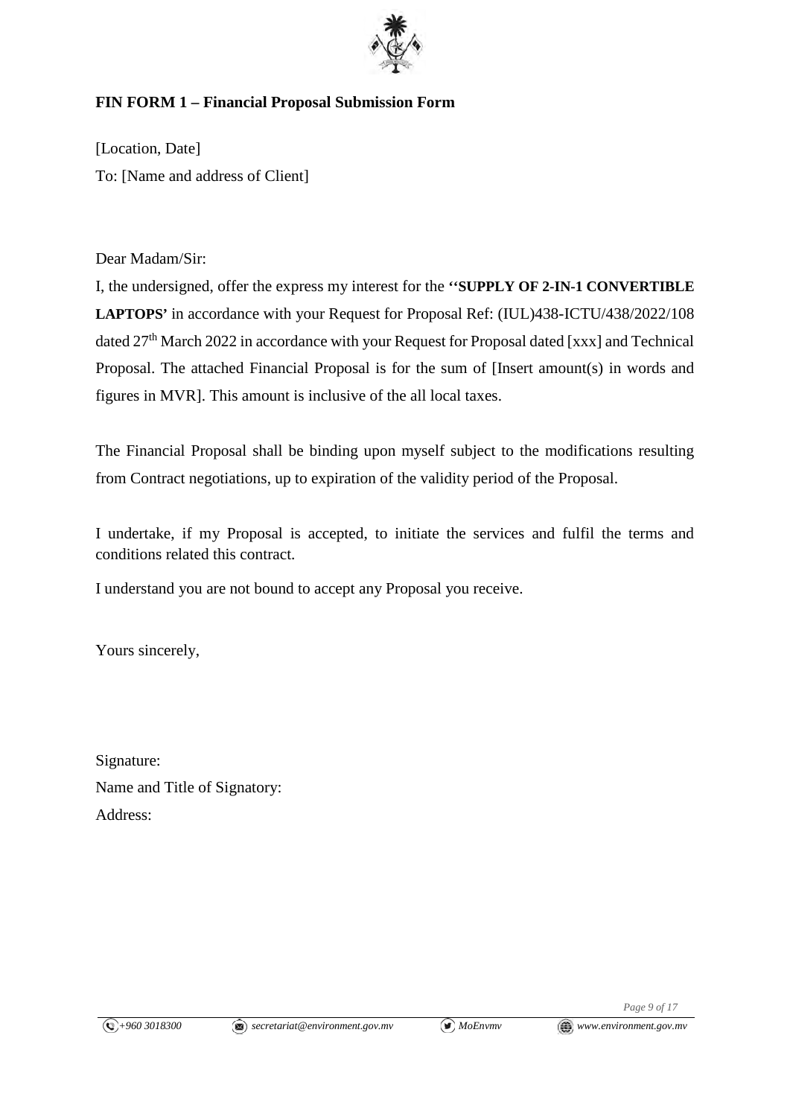

# **FIN FORM 1 – Financial Proposal Submission Form**

[Location, Date] To: [Name and address of Client]

Dear Madam/Sir:

I, the undersigned, offer the express my interest for the **''SUPPLY OF 2-IN-1 CONVERTIBLE**  LAPTOPS' in accordance with your Request for Proposal Ref: (IUL)438-ICTU/438/2022/108 dated 27<sup>th</sup> March 2022 in accordance with your Request for Proposal dated [xxx] and Technical Proposal. The attached Financial Proposal is for the sum of [Insert amount(s) in words and figures in MVR]. This amount is inclusive of the all local taxes.

The Financial Proposal shall be binding upon myself subject to the modifications resulting from Contract negotiations, up to expiration of the validity period of the Proposal.

I undertake, if my Proposal is accepted, to initiate the services and fulfil the terms and conditions related this contract.

I understand you are not bound to accept any Proposal you receive.

Yours sincerely,

Signature: Name and Title of Signatory: Address: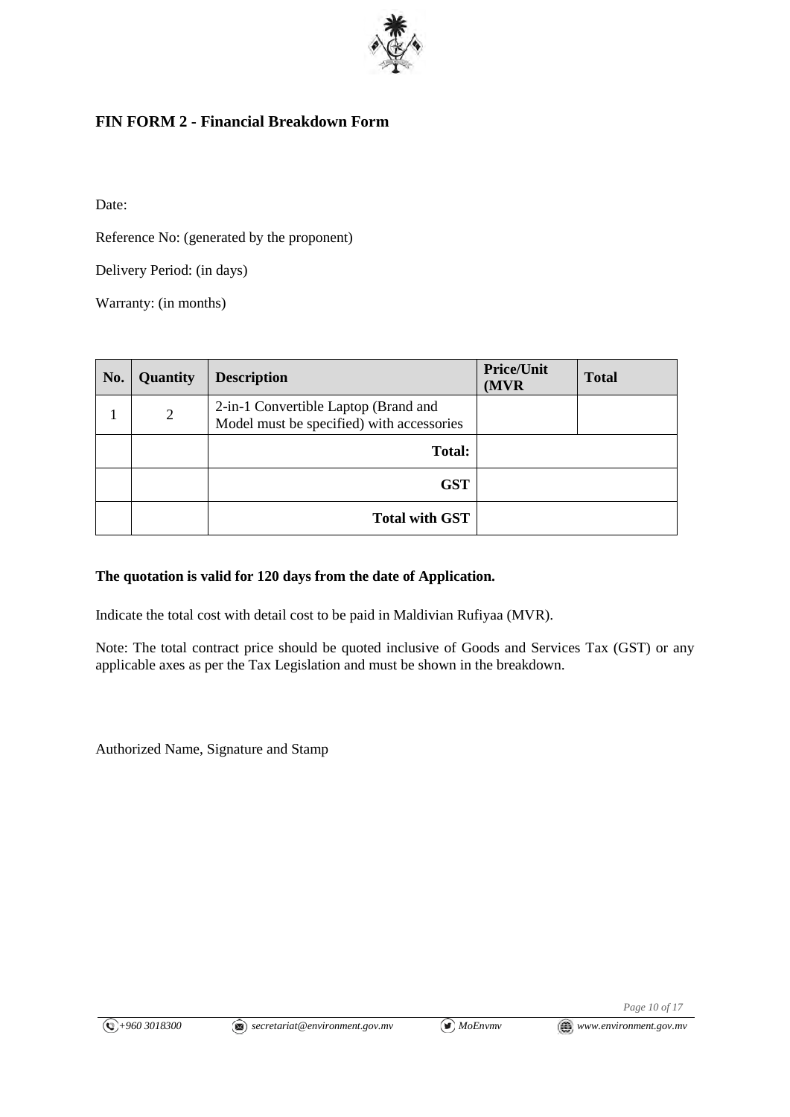

# **FIN FORM 2 - Financial Breakdown Form**

Date:

Reference No: (generated by the proponent)

Delivery Period: (in days)

Warranty: (in months)

| No. | Quantity | <b>Description</b>                                                                | <b>Price/Unit</b><br>(MVR) | <b>Total</b> |
|-----|----------|-----------------------------------------------------------------------------------|----------------------------|--------------|
|     | 2        | 2-in-1 Convertible Laptop (Brand and<br>Model must be specified) with accessories |                            |              |
|     |          | Total:                                                                            |                            |              |
|     |          | <b>GST</b>                                                                        |                            |              |
|     |          | <b>Total with GST</b>                                                             |                            |              |

### **The quotation is valid for 120 days from the date of Application.**

Indicate the total cost with detail cost to be paid in Maldivian Rufiyaa (MVR).

Note: The total contract price should be quoted inclusive of Goods and Services Tax (GST) or any applicable axes as per the Tax Legislation and must be shown in the breakdown.

Authorized Name, Signature and Stamp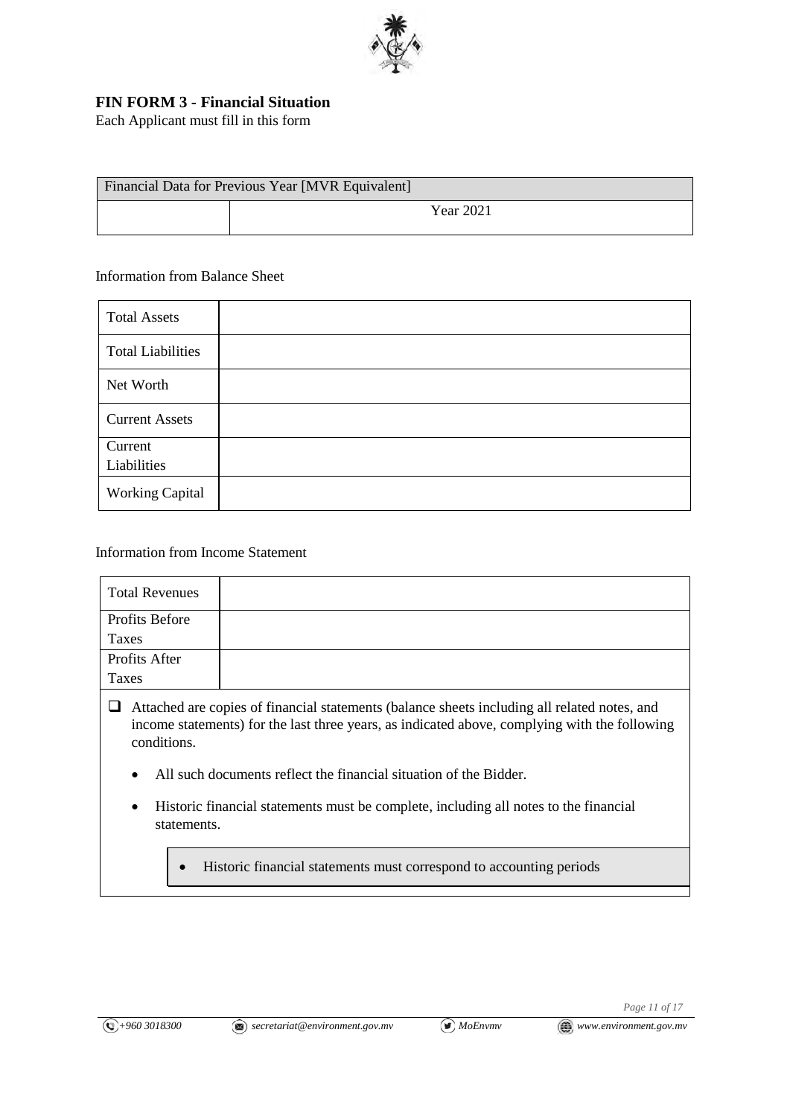

## **FIN FORM 3 - Financial Situation**

Each Applicant must fill in this form

| Financial Data for Previous Year [MVR Equivalent] |  |                  |  |
|---------------------------------------------------|--|------------------|--|
|                                                   |  | <b>Year 2021</b> |  |

#### Information from Balance Sheet

| <b>Total Assets</b>      |  |
|--------------------------|--|
| <b>Total Liabilities</b> |  |
| Net Worth                |  |
| <b>Current Assets</b>    |  |
| Current<br>Liabilities   |  |
| <b>Working Capital</b>   |  |

#### Information from Income Statement

| <b>Total Revenues</b> |  |
|-----------------------|--|
| Profits Before        |  |
| Taxes                 |  |
| Profits After         |  |
| Taxes                 |  |
|                       |  |

- Attached are copies of financial statements (balance sheets including all related notes, and income statements) for the last three years, as indicated above, complying with the following conditions.
	- All such documents reflect the financial situation of the Bidder.
	- Historic financial statements must be complete, including all notes to the financial statements.
		- Historic financial statements must correspond to accounting periods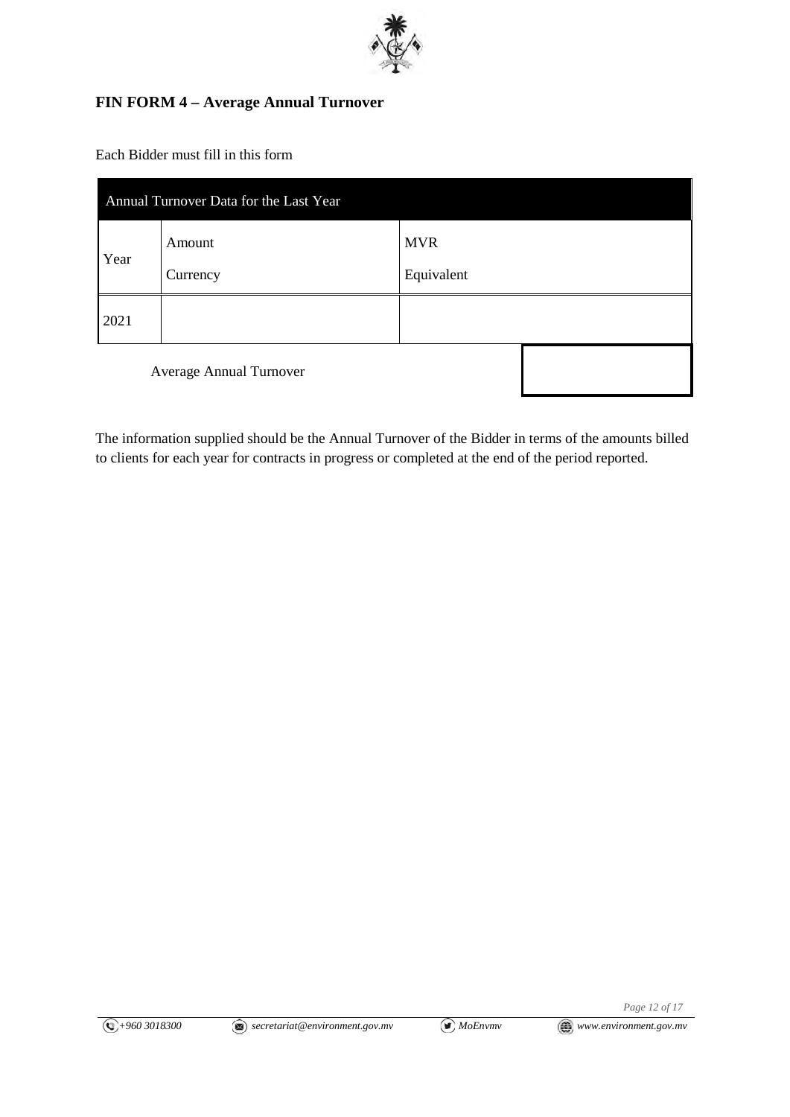

## **FIN FORM 4 – Average Annual Turnover**

Each Bidder must fill in this form

| Annual Turnover Data for the Last Year |          |            |  |  |
|----------------------------------------|----------|------------|--|--|
| Year                                   | Amount   | <b>MVR</b> |  |  |
|                                        | Currency | Equivalent |  |  |
| 2021                                   |          |            |  |  |
| Average Annual Turnover                |          |            |  |  |

The information supplied should be the Annual Turnover of the Bidder in terms of the amounts billed to clients for each year for contracts in progress or completed at the end of the period reported.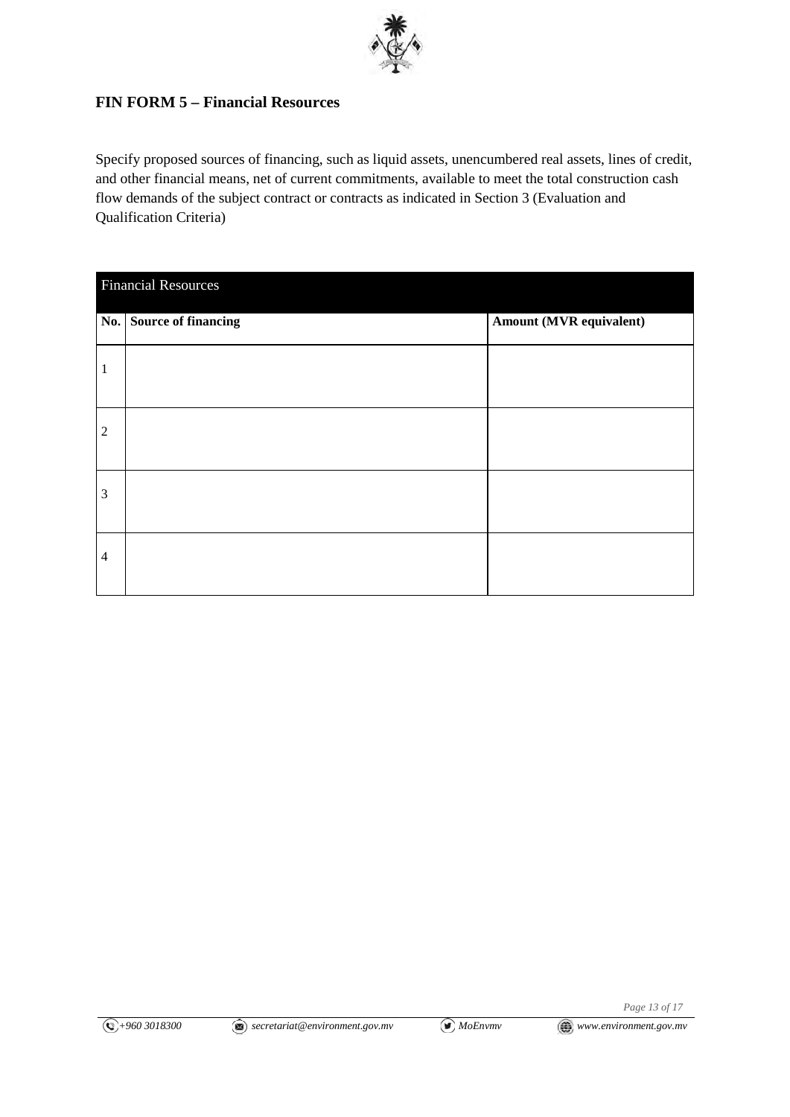

## **FIN FORM 5 – Financial Resources**

Specify proposed sources of financing, such as liquid assets, unencumbered real assets, lines of credit, and other financial means, net of current commitments, available to meet the total construction cash flow demands of the subject contract or contracts as indicated in Section 3 (Evaluation and Qualification Criteria)

| <b>Financial Resources</b> |                         |                         |  |
|----------------------------|-------------------------|-------------------------|--|
|                            | No. Source of financing | Amount (MVR equivalent) |  |
| 1                          |                         |                         |  |
| $\sqrt{2}$                 |                         |                         |  |
| 3                          |                         |                         |  |
| $\overline{4}$             |                         |                         |  |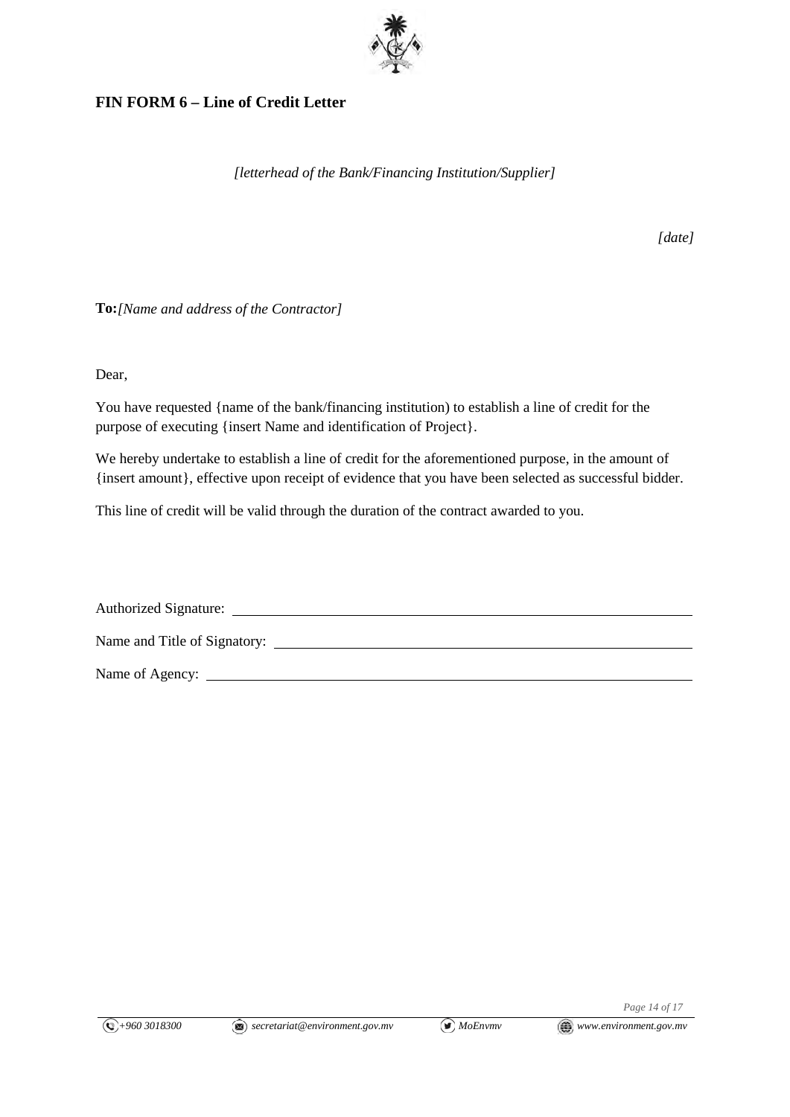

## **FIN FORM 6 – Line of Credit Letter**

*[letterhead of the Bank/Financing Institution/Supplier]*

*[date]*

**To:***[Name and address of the Contractor]*

Dear,

You have requested {name of the bank/financing institution) to establish a line of credit for the purpose of executing {insert Name and identification of Project}.

We hereby undertake to establish a line of credit for the aforementioned purpose, in the amount of {insert amount}, effective upon receipt of evidence that you have been selected as successful bidder.

This line of credit will be valid through the duration of the contract awarded to you.

| <b>Authorized Signature:</b> |  |
|------------------------------|--|
| Name and Title of Signatory: |  |
| Name of Agency:              |  |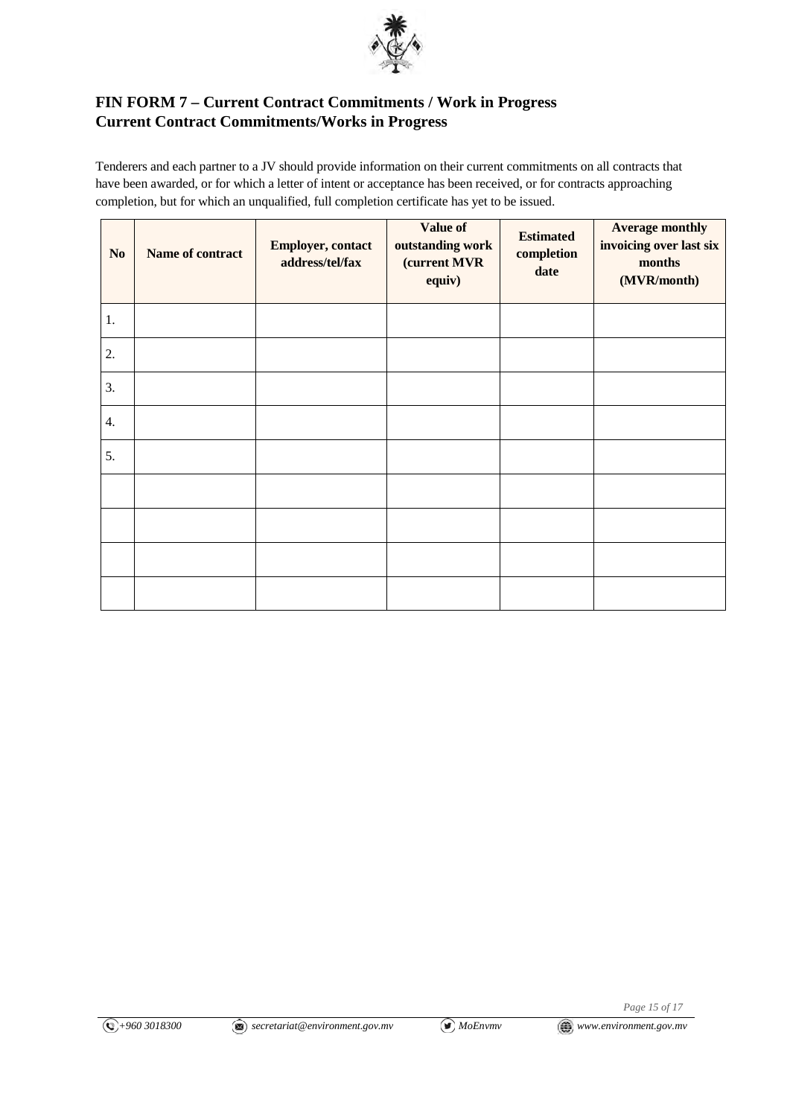

## **FIN FORM 7 – Current Contract Commitments / Work in Progress Current Contract Commitments/Works in Progress**

Tenderers and each partner to a JV should provide information on their current commitments on all contracts that have been awarded, or for which a letter of intent or acceptance has been received, or for contracts approaching completion, but for which an unqualified, full completion certificate has yet to be issued.

| N <sub>0</sub> | Name of contract | <b>Employer, contact</b><br>address/tel/fax | Value of<br>outstanding work<br>(current MVR<br>equiv) | <b>Estimated</b><br>completion<br>date | <b>Average monthly</b><br>invoicing over last six<br>months<br>(MVR/month) |
|----------------|------------------|---------------------------------------------|--------------------------------------------------------|----------------------------------------|----------------------------------------------------------------------------|
| 1.             |                  |                                             |                                                        |                                        |                                                                            |
| 2.             |                  |                                             |                                                        |                                        |                                                                            |
| 3.             |                  |                                             |                                                        |                                        |                                                                            |
| 4.             |                  |                                             |                                                        |                                        |                                                                            |
| 5.             |                  |                                             |                                                        |                                        |                                                                            |
|                |                  |                                             |                                                        |                                        |                                                                            |
|                |                  |                                             |                                                        |                                        |                                                                            |
|                |                  |                                             |                                                        |                                        |                                                                            |
|                |                  |                                             |                                                        |                                        |                                                                            |

*Page 15 of 17*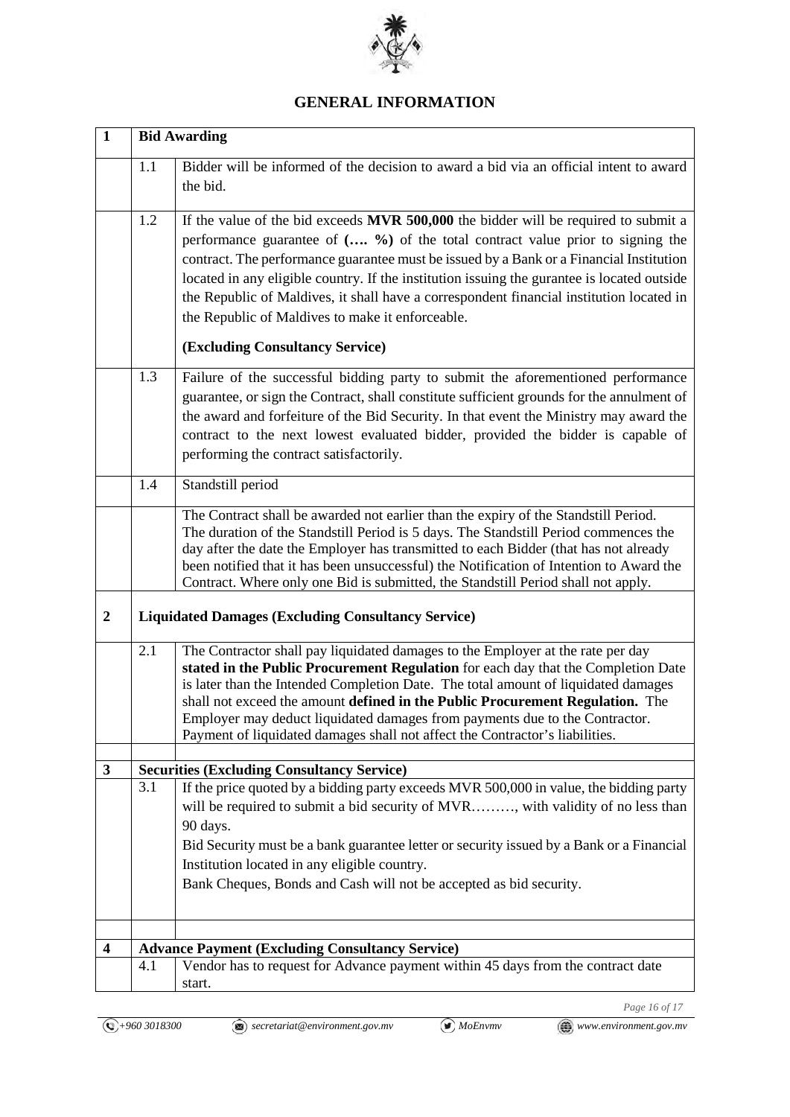

## **GENERAL INFORMATION**

| $\mathbf{1}$     | <b>Bid Awarding</b> |                                                                                                                                                                                                                                                                                                                                                                                                                                                                                                                                                           |  |  |
|------------------|---------------------|-----------------------------------------------------------------------------------------------------------------------------------------------------------------------------------------------------------------------------------------------------------------------------------------------------------------------------------------------------------------------------------------------------------------------------------------------------------------------------------------------------------------------------------------------------------|--|--|
|                  | 1.1                 | Bidder will be informed of the decision to award a bid via an official intent to award<br>the bid.                                                                                                                                                                                                                                                                                                                                                                                                                                                        |  |  |
|                  | 1.2                 | If the value of the bid exceeds <b>MVR 500,000</b> the bidder will be required to submit a<br>performance guarantee of ( %) of the total contract value prior to signing the<br>contract. The performance guarantee must be issued by a Bank or a Financial Institution<br>located in any eligible country. If the institution issuing the gurantee is located outside<br>the Republic of Maldives, it shall have a correspondent financial institution located in<br>the Republic of Maldives to make it enforceable.<br>(Excluding Consultancy Service) |  |  |
|                  | 1.3                 | Failure of the successful bidding party to submit the aforementioned performance<br>guarantee, or sign the Contract, shall constitute sufficient grounds for the annulment of<br>the award and forfeiture of the Bid Security. In that event the Ministry may award the<br>contract to the next lowest evaluated bidder, provided the bidder is capable of<br>performing the contract satisfactorily.                                                                                                                                                     |  |  |
|                  | 1.4                 | Standstill period                                                                                                                                                                                                                                                                                                                                                                                                                                                                                                                                         |  |  |
|                  |                     | The Contract shall be awarded not earlier than the expiry of the Standstill Period.<br>The duration of the Standstill Period is 5 days. The Standstill Period commences the<br>day after the date the Employer has transmitted to each Bidder (that has not already<br>been notified that it has been unsuccessful) the Notification of Intention to Award the<br>Contract. Where only one Bid is submitted, the Standstill Period shall not apply.                                                                                                       |  |  |
| $\boldsymbol{2}$ |                     | <b>Liquidated Damages (Excluding Consultancy Service)</b>                                                                                                                                                                                                                                                                                                                                                                                                                                                                                                 |  |  |
|                  | 2.1                 | The Contractor shall pay liquidated damages to the Employer at the rate per day<br>stated in the Public Procurement Regulation for each day that the Completion Date<br>is later than the Intended Completion Date. The total amount of liquidated damages<br>shall not exceed the amount defined in the Public Procurement Regulation. The<br>Employer may deduct liquidated damages from payments due to the Contractor.<br>Payment of liquidated damages shall not affect the Contractor's liabilities.                                                |  |  |
| 3                |                     | <b>Securities (Excluding Consultancy Service)</b>                                                                                                                                                                                                                                                                                                                                                                                                                                                                                                         |  |  |
|                  | 3.1                 | If the price quoted by a bidding party exceeds MVR 500,000 in value, the bidding party<br>will be required to submit a bid security of MVR, with validity of no less than<br>90 days.<br>Bid Security must be a bank guarantee letter or security issued by a Bank or a Financial<br>Institution located in any eligible country.<br>Bank Cheques, Bonds and Cash will not be accepted as bid security.                                                                                                                                                   |  |  |
| 4                |                     | <b>Advance Payment (Excluding Consultancy Service)</b>                                                                                                                                                                                                                                                                                                                                                                                                                                                                                                    |  |  |
|                  | 4.1                 | Vendor has to request for Advance payment within 45 days from the contract date<br>start.                                                                                                                                                                                                                                                                                                                                                                                                                                                                 |  |  |